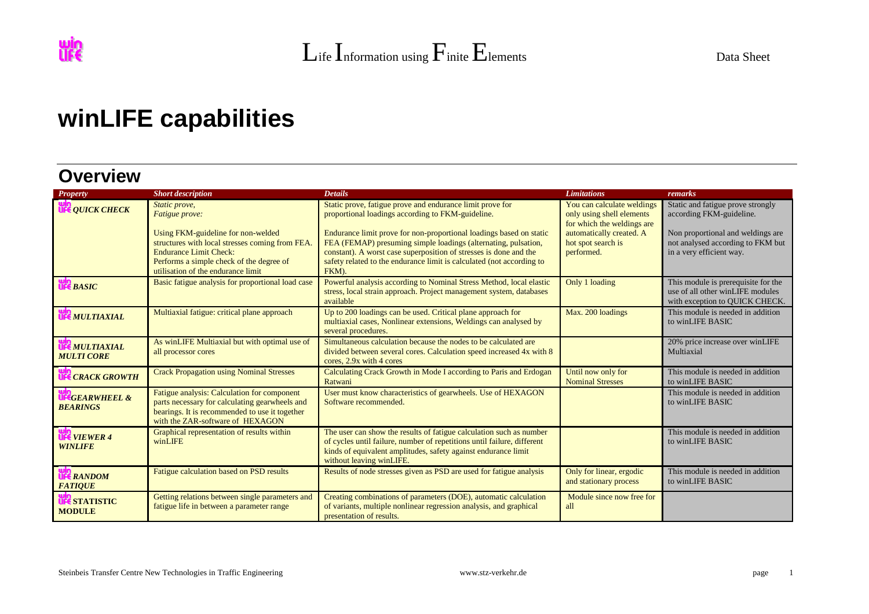## **winLIFE capabilities**

## **Overview**

| Property                                     | <b>Short description</b>                                                                                                                                                                                                                   | <b>Details</b>                                                                                                                                                                                                                                                                                                                                                                                                 | <b>Limitations</b>                                                                                                                                    | remarks                                                                                                                                                             |
|----------------------------------------------|--------------------------------------------------------------------------------------------------------------------------------------------------------------------------------------------------------------------------------------------|----------------------------------------------------------------------------------------------------------------------------------------------------------------------------------------------------------------------------------------------------------------------------------------------------------------------------------------------------------------------------------------------------------------|-------------------------------------------------------------------------------------------------------------------------------------------------------|---------------------------------------------------------------------------------------------------------------------------------------------------------------------|
| <b>UFE QUICK CHECK</b>                       | Static prove,<br>Fatigue prove:<br>Using FKM-guideline for non-welded<br>structures with local stresses coming from FEA<br><b>Endurance Limit Check:</b><br>Performs a simple check of the degree of<br>utilisation of the endurance limit | Static prove, fatigue prove and endurance limit prove for<br>proportional loadings according to FKM-guideline.<br>Endurance limit prove for non-proportional loadings based on static<br>FEA (FEMAP) presuming simple loadings (alternating, pulsation,<br>constant). A worst case superposition of stresses is done and the<br>safety related to the endurance limit is calculated (not according to<br>FKM). | You can calculate weldings<br>only using shell elements<br>for which the weldings are<br>automatically created. A<br>hot spot search is<br>performed. | Static and fatigue prove strongly<br>according FKM-guideline.<br>Non proportional and weldings are<br>not analysed according to FKM but<br>in a very efficient way. |
| <b>UFC</b> BASIC                             | Basic fatigue analysis for proportional load case                                                                                                                                                                                          | Powerful analysis according to Nominal Stress Method, local elastic<br>stress, local strain approach. Project management system, databases<br>available                                                                                                                                                                                                                                                        | Only 1 loading                                                                                                                                        | This module is prerequisite for the<br>use of all other winLIFE modules<br>with exception to QUICK CHECK.                                                           |
| <b>UFE MULTIAXIAL</b>                        | Multiaxial fatigue: critical plane approach                                                                                                                                                                                                | Up to 200 loadings can be used. Critical plane approach for<br>multiaxial cases, Nonlinear extensions, Weldings can analysed by<br>several procedures.                                                                                                                                                                                                                                                         | Max. 200 loadings                                                                                                                                     | This module is needed in addition<br>to winLIFE BASIC                                                                                                               |
| <b>UFE MULTIAXIAL</b><br><b>MULTI CORE</b>   | As winLIFE Multiaxial but with optimal use of<br>all processor cores                                                                                                                                                                       | Simultaneous calculation because the nodes to be calculated are<br>divided between several cores. Calculation speed increased 4x with 8<br>cores, 2.9x with 4 cores                                                                                                                                                                                                                                            |                                                                                                                                                       | 20% price increase over winLIFE<br>Multiaxial                                                                                                                       |
| <b>UFE CRACK GROWTH</b>                      | <b>Crack Propagation using Nominal Stresses</b>                                                                                                                                                                                            | Calculating Crack Growth in Mode I according to Paris and Erdogan<br>Ratwani                                                                                                                                                                                                                                                                                                                                   | Until now only for<br><b>Nominal Stresses</b>                                                                                                         | This module is needed in addition<br>to winLIFE BASIC                                                                                                               |
| <b>UFEGEARWHEEL &amp;</b><br><b>BEARINGS</b> | Fatigue analysis: Calculation for component<br>parts necessary for calculating gearwheels and<br>bearings. It is recommended to use it together<br>with the ZAR-software of HEXAGON                                                        | User must know characteristics of gearwheels. Use of HEXAGON<br>Software recommended.                                                                                                                                                                                                                                                                                                                          |                                                                                                                                                       | This module is needed in addition<br>to winLIFE BASIC                                                                                                               |
| <b>UFE</b> VIEWER 4<br><b>WINLIFE</b>        | Graphical representation of results within<br>winLIFE                                                                                                                                                                                      | The user can show the results of fatigue calculation such as number<br>of cycles until failure, number of repetitions until failure, different<br>kinds of equivalent amplitudes, safety against endurance limit<br>without leaving winLIFE.                                                                                                                                                                   |                                                                                                                                                       | This module is needed in addition<br>to winLIFE BASIC                                                                                                               |
| <b>UFE RANDOM</b><br><b>FATIQUE</b>          | Fatigue calculation based on PSD results                                                                                                                                                                                                   | Results of node stresses given as PSD are used for fatigue analysis                                                                                                                                                                                                                                                                                                                                            | Only for linear, ergodic<br>and stationary process                                                                                                    | This module is needed in addition<br>to winLIFE BASIC                                                                                                               |
| <b>UP STATISTIC</b><br><b>MODULE</b>         | Getting relations between single parameters and<br>fatigue life in between a parameter range                                                                                                                                               | Creating combinations of parameters (DOE), automatic calculation<br>of variants, multiple nonlinear regression analysis, and graphical<br>presentation of results.                                                                                                                                                                                                                                             | Module since now free for<br>all                                                                                                                      |                                                                                                                                                                     |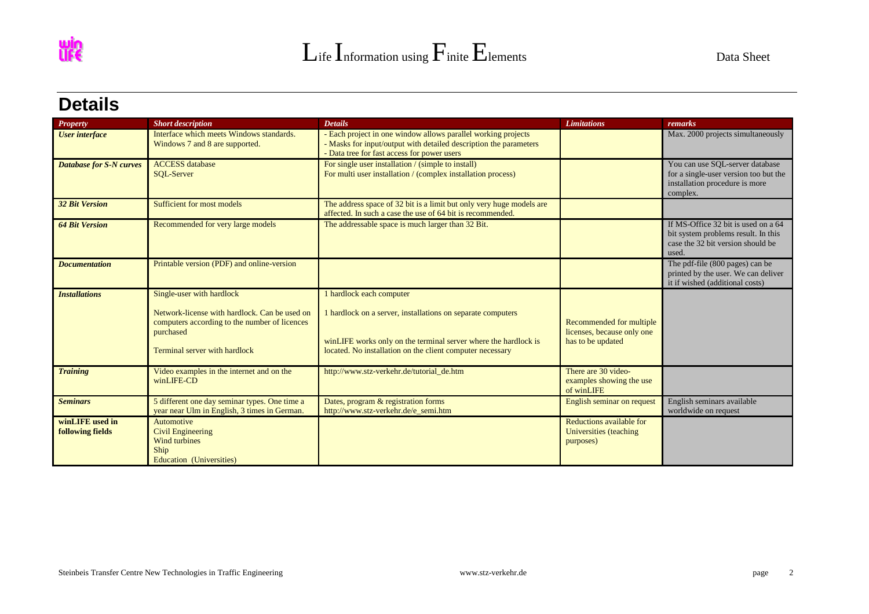

## **Details**

| <b>Property</b>                            | <b>Short description</b>                                                                                                                                                  | <b>Details</b>                                                                                                                                                                                                          | <b>Limitations</b>                                                          | remarks                                                                                                                  |
|--------------------------------------------|---------------------------------------------------------------------------------------------------------------------------------------------------------------------------|-------------------------------------------------------------------------------------------------------------------------------------------------------------------------------------------------------------------------|-----------------------------------------------------------------------------|--------------------------------------------------------------------------------------------------------------------------|
| <b>User</b> interface                      | Interface which meets Windows standards.<br>Windows 7 and 8 are supported.                                                                                                | - Each project in one window allows parallel working projects<br>- Masks for input/output with detailed description the parameters<br>- Data tree for fast access for power users                                       |                                                                             | Max. 2000 projects simultaneously                                                                                        |
| <b>Database for S-N curves</b>             | <b>ACCESS</b> database<br><b>SOL-Server</b>                                                                                                                               | For single user installation / (simple to install)<br>For multi user installation / (complex installation process)                                                                                                      |                                                                             | You can use SOL-server database<br>for a single-user version too but the<br>installation procedure is more<br>complex.   |
| <b>32 Bit Version</b>                      | Sufficient for most models                                                                                                                                                | The address space of 32 bit is a limit but only very huge models are<br>affected. In such a case the use of 64 bit is recommended.                                                                                      |                                                                             |                                                                                                                          |
| <b>64 Bit Version</b>                      | Recommended for very large models                                                                                                                                         | The addressable space is much larger than 32 Bit.                                                                                                                                                                       |                                                                             | If MS-Office 32 bit is used on a 64<br>bit system problems result. In this<br>case the 32 bit version should be<br>used. |
| <b>Documentation</b>                       | Printable version (PDF) and online-version                                                                                                                                |                                                                                                                                                                                                                         |                                                                             | The pdf-file (800 pages) can be<br>printed by the user. We can deliver<br>it if wished (additional costs)                |
| <b>Installations</b>                       | Single-user with hardlock<br>Network-license with hardlock. Can be used on<br>computers according to the number of licences<br>purchased<br>Terminal server with hardlock | 1 hardlock each computer<br>1 hardlock on a server, installations on separate computers<br>winLIFE works only on the terminal server where the hardlock is<br>located. No installation on the client computer necessary | Recommended for multiple<br>licenses, because only one<br>has to be updated |                                                                                                                          |
| <b>Training</b>                            | Video examples in the internet and on the<br>winLIFE-CD                                                                                                                   | http://www.stz-verkehr.de/tutorial_de.htm                                                                                                                                                                               | There are 30 video-<br>examples showing the use<br>of winLIFE               |                                                                                                                          |
| <b>Seminars</b>                            | 5 different one day seminar types. One time a<br>year near Ulm in English, 3 times in German.                                                                             | Dates, program & registration forms<br>http://www.stz-verkehr.de/e_semi.htm                                                                                                                                             | English seminar on request                                                  | English seminars available<br>worldwide on request                                                                       |
| winLIFE used in<br><b>following fields</b> | Automotive<br><b>Civil Engineering</b><br>Wind turbines<br>Ship<br>Education (Universities)                                                                               |                                                                                                                                                                                                                         | Reductions available for<br>Universities (teaching<br>purposes)             |                                                                                                                          |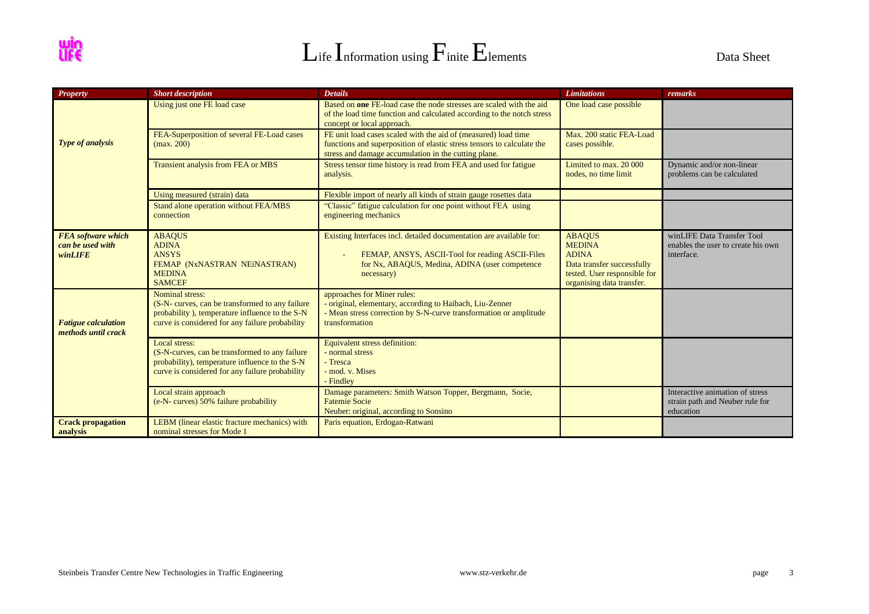



| <b>Property</b>                                          | <b>Short description</b>                                                                                                                                                | <b>Details</b>                                                                                                                                                                                   | <b>Limitations</b>                                                                                                                        | remarks                                                                         |
|----------------------------------------------------------|-------------------------------------------------------------------------------------------------------------------------------------------------------------------------|--------------------------------------------------------------------------------------------------------------------------------------------------------------------------------------------------|-------------------------------------------------------------------------------------------------------------------------------------------|---------------------------------------------------------------------------------|
|                                                          | Using just one FE load case                                                                                                                                             | Based on one FE-load case the node stresses are scaled with the aid<br>of the load time function and calculated according to the notch stress<br>concept or local approach.                      | One load case possible                                                                                                                    |                                                                                 |
| <b>Type of analysis</b>                                  | FEA-Superposition of several FE-Load cases<br>(max. 200)                                                                                                                | FE unit load cases scaled with the aid of (measured) load time<br>functions and superposition of elastic stress tensors to calculate the<br>stress and damage accumulation in the cutting plane. | Max. 200 static FEA-Load<br>cases possible.                                                                                               |                                                                                 |
|                                                          | Transient analysis from FEA or MBS                                                                                                                                      | Stress tensor time history is read from FEA and used for fatigue<br>analysis.                                                                                                                    | Limited to max. 20 000<br>nodes, no time limit                                                                                            | Dynamic and/or non-linear<br>problems can be calculated                         |
|                                                          | Using measured (strain) data                                                                                                                                            | Flexible import of nearly all kinds of strain gauge rosettes data                                                                                                                                |                                                                                                                                           |                                                                                 |
|                                                          | Stand alone operation without FEA/MBS<br>connection                                                                                                                     | "Classic" fatigue calculation for one point without FEA using<br>engineering mechanics                                                                                                           |                                                                                                                                           |                                                                                 |
| <b>FEA</b> software which<br>can be used with<br>winLIFE | <b>ABAQUS</b><br><b>ADINA</b><br><b>ANSYS</b><br>FEMAP (NxNASTRAN NEiNASTRAN)<br><b>MEDINA</b><br><b>SAMCEF</b>                                                         | Existing Interfaces incl. detailed documentation are available for:<br>FEMAP, ANSYS, ASCII-Tool for reading ASCII-Files<br>for Nx, ABAQUS, Medina, ADINA (user competence<br>necessary)          | <b>ABAQUS</b><br><b>MEDINA</b><br><b>ADINA</b><br>Data transfer successfully<br>tested. User responsible for<br>organising data transfer. | winLIFE Data Transfer Tool<br>enables the user to create his own<br>interface.  |
| <b>Fatigue calculation</b><br>methods until crack        | Nominal stress:<br>(S-N- curves, can be transformed to any failure<br>probability), temperature influence to the S-N<br>curve is considered for any failure probability | approaches for Miner rules:<br>- original, elementary, according to Haibach, Liu-Zenner<br>- Mean stress correction by S-N-curve transformation or amplitude<br>transformation                   |                                                                                                                                           |                                                                                 |
|                                                          | Local stress:<br>(S-N-curves, can be transformed to any failure)<br>probability), temperature influence to the S-N<br>curve is considered for any failure probability   | Equivalent stress definition:<br>- normal stress<br>- Tresca<br>- mod. v. Mises<br>- Findley                                                                                                     |                                                                                                                                           |                                                                                 |
|                                                          | Local strain approach<br>(e-N- curves) 50% failure probability                                                                                                          | Damage parameters: Smith Watson Topper, Bergmann, Socie,<br><b>Fatemie Socie</b><br>Neuber: original, according to Sonsino                                                                       |                                                                                                                                           | Interactive animation of stress<br>strain path and Neuber rule for<br>education |
| <b>Crack propagation</b><br>analysis                     | LEBM (linear elastic fracture mechanics) with<br>nominal stresses for Mode 1                                                                                            | Paris equation, Erdogan-Ratwani                                                                                                                                                                  |                                                                                                                                           |                                                                                 |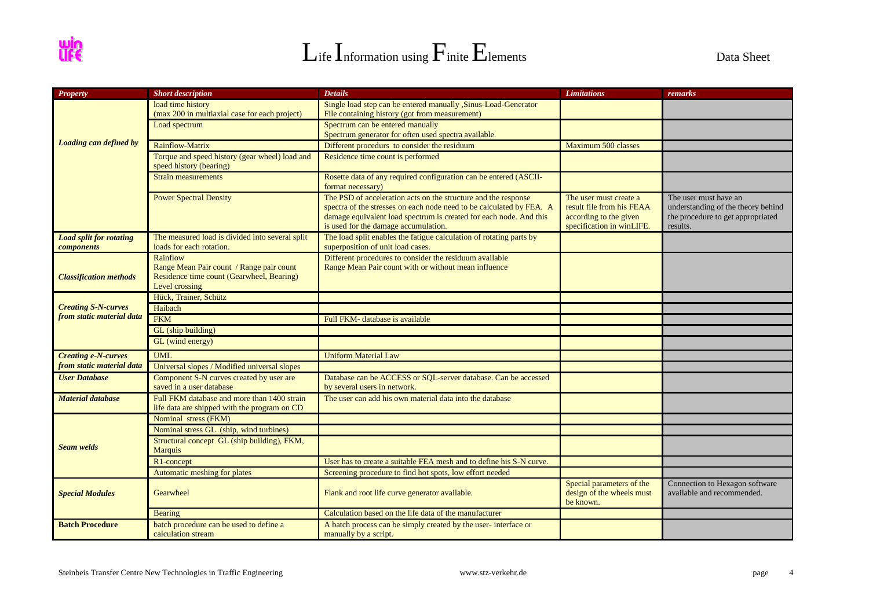

| <b>Property</b>                | <b>Short description</b>                        | <b>Details</b>                                                                                             | <b>Limitations</b>                                     | remarks                                                      |
|--------------------------------|-------------------------------------------------|------------------------------------------------------------------------------------------------------------|--------------------------------------------------------|--------------------------------------------------------------|
|                                | load time history                               | Single load step can be entered manually , Sinus-Load-Generator                                            |                                                        |                                                              |
|                                | (max 200 in multiaxial case for each project)   | File containing history (got from measurement)                                                             |                                                        |                                                              |
|                                | Load spectrum                                   | Spectrum can be entered manually                                                                           |                                                        |                                                              |
|                                |                                                 | Spectrum generator for often used spectra available.                                                       |                                                        |                                                              |
| Loading can defined by         | <b>Rainflow-Matrix</b>                          | Different procedurs to consider the residuum                                                               | Maximum 500 classes                                    |                                                              |
|                                | Torque and speed history (gear wheel) load and  | Residence time count is performed                                                                          |                                                        |                                                              |
|                                | speed history (bearing)                         |                                                                                                            |                                                        |                                                              |
|                                | <b>Strain measurements</b>                      | Rosette data of any required configuration can be entered (ASCII-                                          |                                                        |                                                              |
|                                |                                                 | format necessary)                                                                                          |                                                        |                                                              |
|                                | <b>Power Spectral Density</b>                   | The PSD of acceleration acts on the structure and the response                                             | The user must create a                                 | The user must have an                                        |
|                                |                                                 | spectra of the stresses on each node need to be calculated by FEA. A                                       | result file from his FEAA                              | understanding of the theory behind                           |
|                                |                                                 | damage equivalent load spectrum is created for each node. And this<br>is used for the damage accumulation. | according to the given<br>specification in winLIFE.    | the procedure to get appropriated<br>results.                |
| <b>Load split for rotating</b> | The measured load is divided into several split | The load split enables the fatigue calculation of rotating parts by                                        |                                                        |                                                              |
| components                     | loads for each rotation.                        | superposition of unit load cases.                                                                          |                                                        |                                                              |
|                                | Rainflow                                        | Different procedures to consider the residuum available                                                    |                                                        |                                                              |
|                                | Range Mean Pair count / Range pair count        | Range Mean Pair count with or without mean influence                                                       |                                                        |                                                              |
| <b>Classification methods</b>  | Residence time count (Gearwheel, Bearing)       |                                                                                                            |                                                        |                                                              |
|                                | Level crossing                                  |                                                                                                            |                                                        |                                                              |
|                                | Hück, Trainer, Schütz                           |                                                                                                            |                                                        |                                                              |
| <b>Creating S-N-curves</b>     | Haibach                                         |                                                                                                            |                                                        |                                                              |
| from static material data      | <b>FKM</b>                                      | Full FKM- database is available                                                                            |                                                        |                                                              |
|                                | GL (ship building)                              |                                                                                                            |                                                        |                                                              |
|                                | GL (wind energy)                                |                                                                                                            |                                                        |                                                              |
| <b>Creating e-N-curves</b>     | <b>UML</b>                                      | <b>Uniform Material Law</b>                                                                                |                                                        |                                                              |
| from static material data      | Universal slopes / Modified universal slopes    |                                                                                                            |                                                        |                                                              |
| <b>User Database</b>           | Component S-N curves created by user are        | Database can be ACCESS or SQL-server database. Can be accessed                                             |                                                        |                                                              |
|                                | saved in a user database                        | by several users in network.                                                                               |                                                        |                                                              |
| <b>Material database</b>       | Full FKM database and more than 1400 strain     | The user can add his own material data into the database                                                   |                                                        |                                                              |
|                                | life data are shipped with the program on CD    |                                                                                                            |                                                        |                                                              |
|                                | Nominal stress (FKM)                            |                                                                                                            |                                                        |                                                              |
|                                | Nominal stress GL (ship, wind turbines)         |                                                                                                            |                                                        |                                                              |
|                                | Structural concept GL (ship building), FKM,     |                                                                                                            |                                                        |                                                              |
| <b>Seam welds</b>              | <b>Marquis</b>                                  |                                                                                                            |                                                        |                                                              |
|                                | R1-concept                                      | User has to create a suitable FEA mesh and to define his S-N curve.                                        |                                                        |                                                              |
|                                | Automatic meshing for plates                    | Screening procedure to find hot spots, low effort needed                                                   |                                                        |                                                              |
| <b>Special Modules</b>         | Gearwheel                                       | Flank and root life curve generator available.                                                             | Special parameters of the<br>design of the wheels must | Connection to Hexagon software<br>available and recommended. |
|                                |                                                 |                                                                                                            | be known.                                              |                                                              |
|                                | <b>Bearing</b>                                  | Calculation based on the life data of the manufacturer                                                     |                                                        |                                                              |
| <b>Batch Procedure</b>         | batch procedure can be used to define a         | A batch process can be simply created by the user-interface or                                             |                                                        |                                                              |
|                                | calculation stream                              | manually by a script.                                                                                      |                                                        |                                                              |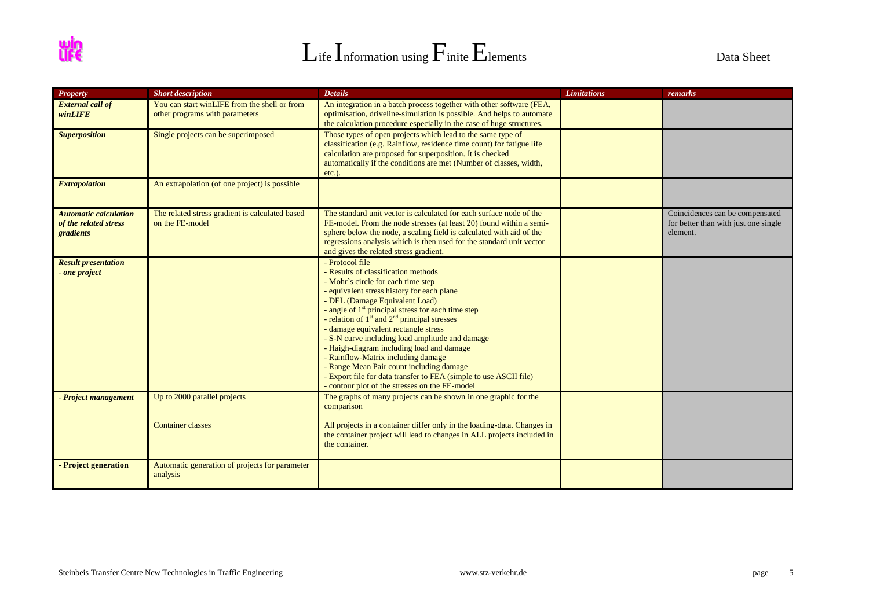| $\mathbf{L}$ ife Information using $\mathbf{F}_{\text{init}}$ $\mathbf{E}_{\text{lements}}$ | Data Sheet |
|---------------------------------------------------------------------------------------------|------------|
|---------------------------------------------------------------------------------------------|------------|

| <b>Property</b>                                                    | <b>Short description</b>                                                       | <b>Details</b>                                                                                                                                                                                                                                                                                                                                                                                                                                                                                                                                                                                                                            | <b>Limitations</b> | remarks                                                                             |
|--------------------------------------------------------------------|--------------------------------------------------------------------------------|-------------------------------------------------------------------------------------------------------------------------------------------------------------------------------------------------------------------------------------------------------------------------------------------------------------------------------------------------------------------------------------------------------------------------------------------------------------------------------------------------------------------------------------------------------------------------------------------------------------------------------------------|--------------------|-------------------------------------------------------------------------------------|
| <b>External call of</b><br>winLIFE                                 | You can start winLIFE from the shell or from<br>other programs with parameters | An integration in a batch process together with other software (FEA,<br>optimisation, driveline-simulation is possible. And helps to automate<br>the calculation procedure especially in the case of huge structures.                                                                                                                                                                                                                                                                                                                                                                                                                     |                    |                                                                                     |
| <b>Superposition</b>                                               | Single projects can be superimposed                                            | Those types of open projects which lead to the same type of<br>classification (e.g. Rainflow, residence time count) for fatigue life<br>calculation are proposed for superposition. It is checked<br>automatically if the conditions are met (Number of classes, width,<br>$etc.$ ).                                                                                                                                                                                                                                                                                                                                                      |                    |                                                                                     |
| <b>Extrapolation</b>                                               | An extrapolation (of one project) is possible                                  |                                                                                                                                                                                                                                                                                                                                                                                                                                                                                                                                                                                                                                           |                    |                                                                                     |
| <b>Automatic calculation</b><br>of the related stress<br>gradients | The related stress gradient is calculated based<br>on the FE-model             | The standard unit vector is calculated for each surface node of the<br>FE-model. From the node stresses (at least 20) found within a semi-<br>sphere below the node, a scaling field is calculated with aid of the<br>regressions analysis which is then used for the standard unit vector<br>and gives the related stress gradient.                                                                                                                                                                                                                                                                                                      |                    | Coincidences can be compensated<br>for better than with just one single<br>element. |
| <b>Result presentation</b><br>- one project                        |                                                                                | - Protocol file<br>- Results of classification methods<br>- Mohr's circle for each time step<br>- equivalent stress history for each plane<br>- DEL (Damage Equivalent Load)<br>- angle of $1st$ principal stress for each time step<br>- relation of $1st$ and $2nd$ principal stresses<br>- damage equivalent rectangle stress<br>- S-N curve including load amplitude and damage<br>- Haigh-diagram including load and damage<br>- Rainflow-Matrix including damage<br>- Range Mean Pair count including damage<br>- Export file for data transfer to FEA (simple to use ASCII file)<br>- contour plot of the stresses on the FE-model |                    |                                                                                     |
| - Project management                                               | Up to 2000 parallel projects<br><b>Container classes</b>                       | The graphs of many projects can be shown in one graphic for the<br>comparison<br>All projects in a container differ only in the loading-data. Changes in<br>the container project will lead to changes in ALL projects included in<br>the container.                                                                                                                                                                                                                                                                                                                                                                                      |                    |                                                                                     |
| - Project generation                                               | Automatic generation of projects for parameter<br>analysis                     |                                                                                                                                                                                                                                                                                                                                                                                                                                                                                                                                                                                                                                           |                    |                                                                                     |